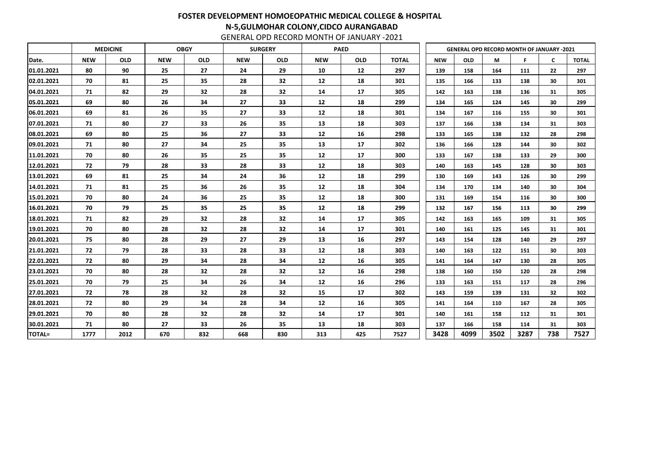GENERAL OPD RECORD MONTH OF JANUARY -2021

|               |            | <b>MEDICINE</b> |            | <b>OBGY</b> |            | <b>SURGERY</b>  |            | <b>PAED</b> |              |            | <b>GENERAL OPD RECORD MONTH OF JANUARY -2021</b> |      |      |     |              |
|---------------|------------|-----------------|------------|-------------|------------|-----------------|------------|-------------|--------------|------------|--------------------------------------------------|------|------|-----|--------------|
| Date.         | <b>NEW</b> | <b>OLD</b>      | <b>NEW</b> | <b>OLD</b>  | <b>NEW</b> | <b>OLD</b>      | <b>NEW</b> | <b>OLD</b>  | <b>TOTAL</b> | <b>NEW</b> | <b>OLD</b>                                       | M    | F    | C   | <b>TOTAL</b> |
| 01.01.2021    | 80         | 90              | 25         | 27          | 24         | 29              | 10         | 12          | 297          | 139        | 158                                              | 164  | 111  | 22  | 297          |
| 02.01.2021    | 70         | 81              | 25         | 35          | 28         | 32              | 12         | 18          | 301          | 135        | 166                                              | 133  | 138  | 30  | 301          |
| 04.01.2021    | 71         | 82              | 29         | 32          | 28         | 32              | 14         | 17          | 305          | 142        | 163                                              | 138  | 136  | 31  | 305          |
| 05.01.2021    | 69         | 80              | 26         | 34          | 27         | 33              | 12         | 18          | 299          | 134        | 165                                              | 124  | 145  | 30  | 299          |
| 06.01.2021    | 69         | 81              | 26         | 35          | 27         | 33              | 12         | 18          | 301          | 134        | 167                                              | 116  | 155  | 30  | 301          |
| 07.01.2021    | 71         | 80              | 27         | 33          | 26         | 35              | 13         | 18          | 303          | 137        | 166                                              | 138  | 134  | 31  | 303          |
| 08.01.2021    | 69         | 80              | 25         | 36          | 27         | 33              | 12         | 16          | 298          | 133        | 165                                              | 138  | 132  | 28  | 298          |
| 09.01.2021    | 71         | 80              | 27         | 34          | 25         | 35              | 13         | 17          | 302          | 136        | 166                                              | 128  | 144  | 30  | 302          |
| 11.01.2021    | 70         | 80              | 26         | 35          | 25         | 35              | 12         | 17          | 300          | 133        | 167                                              | 138  | 133  | 29  | 300          |
| 12.01.2021    | 72         | 79              | 28         | 33          | 28         | 33              | 12         | 18          | 303          | 140        | 163                                              | 145  | 128  | 30  | 303          |
| 13.01.2021    | 69         | 81              | 25         | 34          | 24         | 36              | 12         | 18          | 299          | 130        | 169                                              | 143  | 126  | 30  | 299          |
| 14.01.2021    | 71         | 81              | 25         | 36          | 26         | 35              | 12         | 18          | 304          | 134        | 170                                              | 134  | 140  | 30  | 304          |
| 15.01.2021    | 70         | 80              | 24         | 36          | 25         | 35              | 12         | 18          | 300          | 131        | 169                                              | 154  | 116  | 30  | 300          |
| 16.01.2021    | 70         | 79              | 25         | 35          | 25         | 35              | 12         | 18          | 299          | 132        | 167                                              | 156  | 113  | 30  | 299          |
| 18.01.2021    | 71         | 82              | 29         | 32          | 28         | 32              | 14         | 17          | 305          | 142        | 163                                              | 165  | 109  | 31  | 305          |
| 19.01.2021    | 70         | 80              | 28         | 32          | 28         | 32              | 14         | 17          | 301          | 140        | 161                                              | 125  | 145  | 31  | 301          |
| 20.01.2021    | 75         | 80              | 28         | 29          | 27         | 29              | 13         | 16          | 297          | 143        | 154                                              | 128  | 140  | 29  | 297          |
| 21.01.2021    | 72         | 79              | 28         | 33          | 28         | 33              | 12         | 18          | 303          | 140        | 163                                              | 122  | 151  | 30  | 303          |
| 22.01.2021    | 72         | 80              | 29         | 34          | 28         | 34              | 12         | 16          | 305          | 141        | 164                                              | 147  | 130  | 28  | 305          |
| 23.01.2021    | 70         | 80              | 28         | 32          | 28         | 32              | 12         | 16          | 298          | 138        | 160                                              | 150  | 120  | 28  | 298          |
| 25.01.2021    | 70         | 79              | 25         | 34          | 26         | 34              | 12         | 16          | 296          | 133        | 163                                              | 151  | 117  | 28  | 296          |
| 27.01.2021    | 72         | 78              | 28         | 32          | 28         | 32              | 15         | 17          | 302          | 143        | 159                                              | 139  | 131  | 32  | 302          |
| 28.01.2021    | 72         | 80              | 29         | 34          | 28         | 34              | 12         | 16          | 305          | 141        | 164                                              | 110  | 167  | 28  | 305          |
| 29.01.2021    | 70         | 80              | 28         | 32          | 28         | 32              | 14         | 17          | 301          | 140        | 161                                              | 158  | 112  | 31  | 301          |
| 30.01.2021    | 71         | 80              | 27         | 33          | 26         | 35 <sub>5</sub> | 13         | 18          | 303          | 137        | 166                                              | 158  | 114  | 31  | 303          |
| <b>TOTAL=</b> | 1777       | 2012            | 670        | 832         | 668        | 830             | 313        | 425         | 7527         | 3428       | 4099                                             | 3502 | 3287 | 738 | 7527         |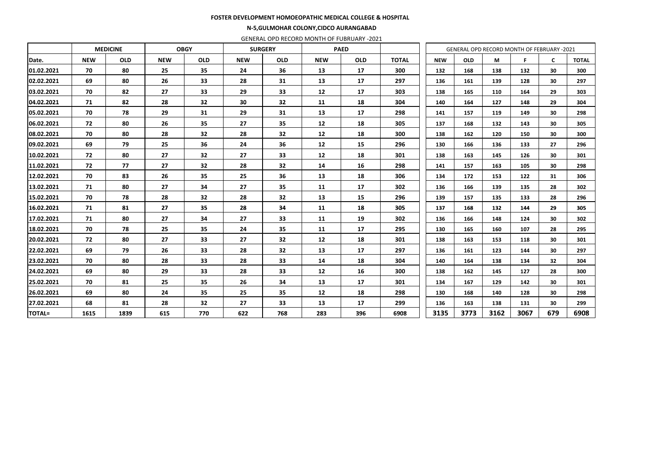#### FOSTER DEVELOPMENT HOMOEOPATHIC MEDICAL COLLEGE & HOSPITAL

#### N-5,GULMOHAR COLONY,CIDCO AURANGABAD

GENERAL OPD RECORD MONTH OF FUBRUARY -2021

|               |            | <b>MEDICINE</b> |            | <b>OBGY</b> |            | <b>SURGERY</b> |            | <b>PAED</b> |              |            | <b>GENERAL OPD RECORD MONTH OF FEBRUARY -2021</b> |      |      |              |              |
|---------------|------------|-----------------|------------|-------------|------------|----------------|------------|-------------|--------------|------------|---------------------------------------------------|------|------|--------------|--------------|
| Date.         | <b>NEW</b> | <b>OLD</b>      | <b>NEW</b> | <b>OLD</b>  | <b>NEW</b> | <b>OLD</b>     | <b>NEW</b> | <b>OLD</b>  | <b>TOTAL</b> | <b>NEW</b> | <b>OLD</b>                                        | M    | F    | $\mathsf{C}$ | <b>TOTAL</b> |
| 01.02.2021    | 70         | 80              | 25         | 35          | 24         | 36             | 13         | 17          | 300          | 132        | 168                                               | 138  | 132  | 30           | 300          |
| 02.02.2021    | 69         | 80              | 26         | 33          | 28         | 31             | 13         | 17          | 297          | 136        | 161                                               | 139  | 128  | 30           | 297          |
| 03.02.2021    | 70         | 82              | 27         | 33          | 29         | 33             | 12         | 17          | 303          | 138        | 165                                               | 110  | 164  | 29           | 303          |
| 04.02.2021    | 71         | 82              | 28         | 32          | 30         | 32             | 11         | 18          | 304          | 140        | 164                                               | 127  | 148  | 29           | 304          |
| 05.02.2021    | 70         | 78              | 29         | 31          | 29         | 31             | 13         | 17          | 298          | 141        | 157                                               | 119  | 149  | 30           | 298          |
| 06.02.2021    | 72         | 80              | 26         | 35          | 27         | 35             | 12         | 18          | 305          | 137        | 168                                               | 132  | 143  | 30           | 305          |
| 08.02.2021    | 70         | 80              | 28         | 32          | 28         | 32             | 12         | 18          | 300          | 138        | 162                                               | 120  | 150  | 30           | 300          |
| 09.02.2021    | 69         | 79              | 25         | 36          | 24         | 36             | 12         | 15          | 296          | 130        | 166                                               | 136  | 133  | 27           | 296          |
| 10.02.2021    | 72         | 80              | 27         | 32          | 27         | 33             | 12         | 18          | 301          | 138        | 163                                               | 145  | 126  | 30           | 301          |
| 11.02.2021    | 72         | 77              | 27         | 32          | 28         | 32             | 14         | 16          | 298          | 141        | 157                                               | 163  | 105  | 30           | 298          |
| 12.02.2021    | 70         | 83              | 26         | 35          | 25         | 36             | 13         | 18          | 306          | 134        | 172                                               | 153  | 122  | 31           | 306          |
| 13.02.2021    | 71         | 80              | 27         | 34          | 27         | 35             | 11         | 17          | 302          | 136        | 166                                               | 139  | 135  | 28           | 302          |
| 15.02.2021    | 70         | 78              | 28         | 32          | 28         | 32             | 13         | 15          | 296          | 139        | 157                                               | 135  | 133  | 28           | 296          |
| 16.02.2021    | 71         | 81              | 27         | 35          | 28         | 34             | 11         | 18          | 305          | 137        | 168                                               | 132  | 144  | 29           | 305          |
| 17.02.2021    | 71         | 80              | 27         | 34          | 27         | 33             | 11         | 19          | 302          | 136        | 166                                               | 148  | 124  | 30           | 302          |
| 18.02.2021    | 70         | 78              | 25         | 35          | 24         | 35             | 11         | 17          | 295          | 130        | 165                                               | 160  | 107  | 28           | 295          |
| 20.02.2021    | 72         | 80              | 27         | 33          | 27         | 32             | 12         | 18          | 301          | 138        | 163                                               | 153  | 118  | 30           | 301          |
| 22.02.2021    | 69         | 79              | 26         | 33          | 28         | 32             | 13         | 17          | 297          | 136        | 161                                               | 123  | 144  | 30           | 297          |
| 23.02.2021    | 70         | 80              | 28         | 33          | 28         | 33             | 14         | 18          | 304          | 140        | 164                                               | 138  | 134  | 32           | 304          |
| 24.02.2021    | 69         | 80              | 29         | 33          | 28         | 33             | 12         | 16          | 300          | 138        | 162                                               | 145  | 127  | 28           | 300          |
| 25.02.2021    | 70         | 81              | 25         | 35          | 26         | 34             | 13         | 17          | 301          | 134        | 167                                               | 129  | 142  | 30           | 301          |
| 26.02.2021    | 69         | 80              | 24         | 35          | 25         | 35             | 12         | 18          | 298          | 130        | 168                                               | 140  | 128  | 30           | 298          |
| 27.02.2021    | 68         | 81              | 28         | 32          | 27         | 33             | 13         | 17          | 299          | 136        | 163                                               | 138  | 131  | 30           | 299          |
| <b>TOTAL=</b> | 1615       | 1839            | 615        | 770         | 622        | 768            | 283        | 396         | 6908         | 3135       | 3773                                              | 3162 | 3067 | 679          | 6908         |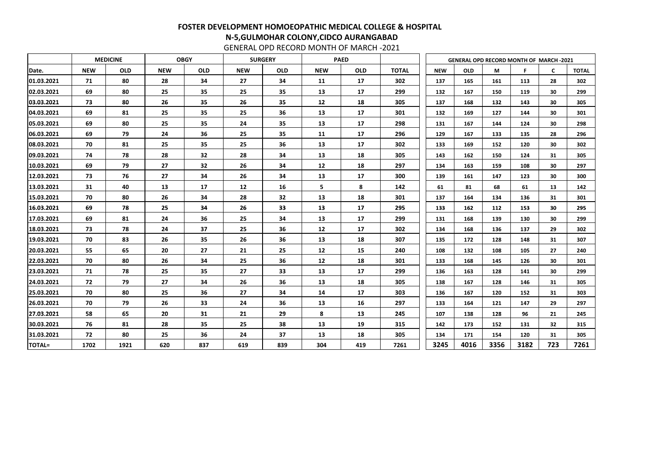GENERAL OPD RECORD MONTH OF MARCH -2021

|               | <b>MEDICINE</b> |            |            | <b>OBGY</b> |            | <b>SURGERY</b> |            | <b>PAED</b> |              |            |            | <b>GENERAL OPD RECORD MONTH OF MARCH-2021</b> |      |              |              |
|---------------|-----------------|------------|------------|-------------|------------|----------------|------------|-------------|--------------|------------|------------|-----------------------------------------------|------|--------------|--------------|
| Date.         | <b>NEW</b>      | <b>OLD</b> | <b>NEW</b> | <b>OLD</b>  | <b>NEW</b> | <b>OLD</b>     | <b>NEW</b> | <b>OLD</b>  | <b>TOTAL</b> | <b>NEW</b> | <b>OLD</b> | М                                             | F    | $\mathsf{C}$ | <b>TOTAL</b> |
| 01.03.2021    | 71              | 80         | 28         | 34          | 27         | 34             | 11         | 17          | 302          | 137        | 165        | 161                                           | 113  | 28           | 302          |
| 02.03.2021    | 69              | 80         | 25         | 35          | 25         | 35             | 13         | 17          | 299          | 132        | 167        | 150                                           | 119  | 30           | 299          |
| 03.03.2021    | 73              | 80         | 26         | 35          | 26         | 35             | 12         | 18          | 305          | 137        | 168        | 132                                           | 143  | 30           | 305          |
| 04.03.2021    | 69              | 81         | 25         | 35          | 25         | 36             | 13         | 17          | 301          | 132        | 169        | 127                                           | 144  | 30           | 301          |
| 05.03.2021    | 69              | 80         | 25         | 35          | 24         | 35             | 13         | 17          | 298          | 131        | 167        | 144                                           | 124  | 30           | 298          |
| 06.03.2021    | 69              | 79         | 24         | 36          | 25         | 35             | 11         | 17          | 296          | 129        | 167        | 133                                           | 135  | 28           | 296          |
| 08.03.2021    | 70              | 81         | 25         | 35          | 25         | 36             | 13         | 17          | 302          | 133        | 169        | 152                                           | 120  | 30           | 302          |
| 09.03.2021    | 74              | 78         | 28         | 32          | 28         | 34             | 13         | 18          | 305          | 143        | 162        | 150                                           | 124  | 31           | 305          |
| 10.03.2021    | 69              | 79         | 27         | 32          | 26         | 34             | 12         | 18          | 297          | 134        | 163        | 159                                           | 108  | 30           | 297          |
| 12.03.2021    | 73              | 76         | 27         | 34          | 26         | 34             | 13         | 17          | 300          | 139        | 161        | 147                                           | 123  | 30           | 300          |
| 13.03.2021    | 31              | 40         | 13         | 17          | 12         | 16             | 5          | 8           | 142          | 61         | 81         | 68                                            | 61   | 13           | 142          |
| 15.03.2021    | 70              | 80         | 26         | 34          | 28         | 32             | 13         | 18          | 301          | 137        | 164        | 134                                           | 136  | 31           | 301          |
| 16.03.2021    | 69              | 78         | 25         | 34          | 26         | 33             | 13         | 17          | 295          | 133        | 162        | 112                                           | 153  | 30           | 295          |
| 17.03.2021    | 69              | 81         | 24         | 36          | 25         | 34             | 13         | 17          | 299          | 131        | 168        | 139                                           | 130  | 30           | 299          |
| 18.03.2021    | 73              | 78         | 24         | 37          | 25         | 36             | 12         | 17          | 302          | 134        | 168        | 136                                           | 137  | 29           | 302          |
| 19.03.2021    | 70              | 83         | 26         | 35          | 26         | 36             | 13         | 18          | 307          | 135        | 172        | 128                                           | 148  | 31           | 307          |
| 20.03.2021    | 55              | 65         | 20         | 27          | 21         | 25             | 12         | 15          | 240          | 108        | 132        | 108                                           | 105  | 27           | 240          |
| 22.03.2021    | 70              | 80         | 26         | 34          | 25         | 36             | 12         | 18          | 301          | 133        | 168        | 145                                           | 126  | 30           | 301          |
| 23.03.2021    | 71              | 78         | 25         | 35          | 27         | 33             | 13         | 17          | 299          | 136        | 163        | 128                                           | 141  | 30           | 299          |
| 24.03.2021    | 72              | 79         | 27         | 34          | 26         | 36             | 13         | 18          | 305          | 138        | 167        | 128                                           | 146  | 31           | 305          |
| 25.03.2021    | 70              | 80         | 25         | 36          | 27         | 34             | 14         | 17          | 303          | 136        | 167        | 120                                           | 152  | 31           | 303          |
| 26.03.2021    | 70              | 79         | 26         | 33          | 24         | 36             | 13         | 16          | 297          | 133        | 164        | 121                                           | 147  | 29           | 297          |
| 27.03.2021    | 58              | 65         | 20         | 31          | 21         | 29             | 8          | 13          | 245          | 107        | 138        | 128                                           | 96   | 21           | 245          |
| 30.03.2021    | 76              | 81         | 28         | 35          | 25         | 38             | 13         | 19          | 315          | 142        | 173        | 152                                           | 131  | 32           | 315          |
| 31.03.2021    | 72              | 80         | 25         | 36          | 24         | 37             | 13         | 18          | 305          | 134        | 171        | 154                                           | 120  | 31           | 305          |
| <b>TOTAL=</b> | 1702            | 1921       | 620        | 837         | 619        | 839            | 304        | 419         | 7261         | 3245       | 4016       | 3356                                          | 3182 | 723          | 7261         |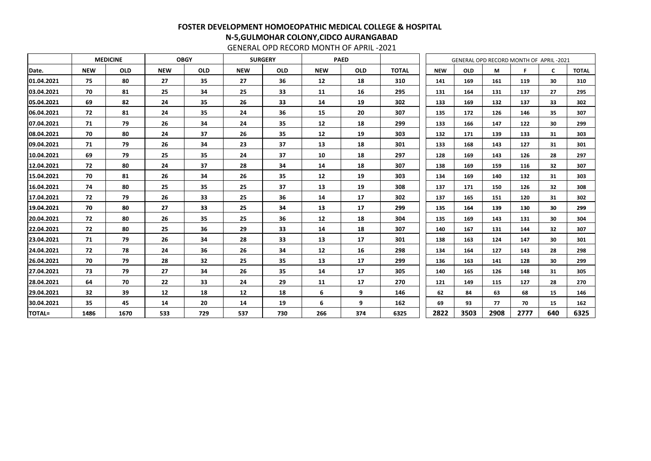GENERAL OPD RECORD MONTH OF APRIL -2021

# FOSTER DEVELOPMENT HOMOEOPATHIC MEDICAL COLLEGE & HOSPITAL N-5,GULMOHAR COLONY,CIDCO AURANGABAD

|               | <b>MEDICINE</b><br><b>OBGY</b> |            |            |            |            | <b>SURGERY</b> |            | <b>PAED</b> |              |            |            | GENERAL OPD RECORD MONTH OF APRIL-2021 |      |     |              |
|---------------|--------------------------------|------------|------------|------------|------------|----------------|------------|-------------|--------------|------------|------------|----------------------------------------|------|-----|--------------|
| Date.         | <b>NEW</b>                     | <b>OLD</b> | <b>NEW</b> | <b>OLD</b> | <b>NEW</b> | <b>OLD</b>     | <b>NEW</b> | <b>OLD</b>  | <b>TOTAL</b> | <b>NEW</b> | <b>OLD</b> | M                                      | F.   | C   | <b>TOTAL</b> |
| 01.04.2021    | 75                             | 80         | 27         | 35         | 27         | 36             | 12         | 18          | 310          | 141        | 169        | 161                                    | 119  | 30  | 310          |
| 03.04.2021    | 70                             | 81         | 25         | 34         | 25         | 33             | 11         | 16          | 295          | 131        | 164        | 131                                    | 137  | 27  | 295          |
| 05.04.2021    | 69                             | 82         | 24         | 35         | 26         | 33             | 14         | 19          | 302          | 133        | 169        | 132                                    | 137  | 33  | 302          |
| 06.04.2021    | 72                             | 81         | 24         | 35         | 24         | 36             | 15         | 20          | 307          | 135        | 172        | 126                                    | 146  | 35  | 307          |
| 07.04.2021    | 71                             | 79         | 26         | 34         | 24         | 35             | 12         | 18          | 299          | 133        | 166        | 147                                    | 122  | 30  | 299          |
| 08.04.2021    | 70                             | 80         | 24         | 37         | 26         | 35             | 12         | 19          | 303          | 132        | 171        | 139                                    | 133  | 31  | 303          |
| 09.04.2021    | 71                             | 79         | 26         | 34         | 23         | 37             | 13         | 18          | 301          | 133        | 168        | 143                                    | 127  | 31  | 301          |
| 10.04.2021    | 69                             | 79         | 25         | 35         | 24         | 37             | 10         | 18          | 297          | 128        | 169        | 143                                    | 126  | 28  | 297          |
| 12.04.2021    | 72                             | 80         | 24         | 37         | 28         | 34             | 14         | 18          | 307          | 138        | 169        | 159                                    | 116  | 32  | 307          |
| 15.04.2021    | 70                             | 81         | 26         | 34         | 26         | 35             | 12         | 19          | 303          | 134        | 169        | 140                                    | 132  | 31  | 303          |
| 16.04.2021    | 74                             | 80         | 25         | 35         | 25         | 37             | 13         | 19          | 308          | 137        | 171        | 150                                    | 126  | 32  | 308          |
| 17.04.2021    | 72                             | 79         | 26         | 33         | 25         | 36             | 14         | 17          | 302          | 137        | 165        | 151                                    | 120  | 31  | 302          |
| 19.04.2021    | 70                             | 80         | 27         | 33         | 25         | 34             | 13         | 17          | 299          | 135        | 164        | 139                                    | 130  | 30  | 299          |
| 20.04.2021    | 72                             | 80         | 26         | 35         | 25         | 36             | 12         | 18          | 304          | 135        | 169        | 143                                    | 131  | 30  | 304          |
| 22.04.2021    | 72                             | 80         | 25         | 36         | 29         | 33             | 14         | 18          | 307          | 140        | 167        | 131                                    | 144  | 32  | 307          |
| 23.04.2021    | 71                             | 79         | 26         | 34         | 28         | 33             | 13         | 17          | 301          | 138        | 163        | 124                                    | 147  | 30  | 301          |
| 24.04.2021    | 72                             | 78         | 24         | 36         | 26         | 34             | 12         | 16          | 298          | 134        | 164        | 127                                    | 143  | 28  | 298          |
| 26.04.2021    | 70                             | 79         | 28         | 32         | 25         | 35             | 13         | 17          | 299          | 136        | 163        | 141                                    | 128  | 30  | 299          |
| 27.04.2021    | 73                             | 79         | 27         | 34         | 26         | 35             | 14         | 17          | 305          | 140        | 165        | 126                                    | 148  | 31  | 305          |
| 28.04.2021    | 64                             | 70         | 22         | 33         | 24         | 29             | 11         | 17          | 270          | 121        | 149        | 115                                    | 127  | 28  | 270          |
| 29.04.2021    | 32                             | 39         | 12         | 18         | 12         | 18             | 6          | 9           | 146          | 62         | 84         | 63                                     | 68   | 15  | 146          |
| 30.04.2021    | 35                             | 45         | 14         | 20         | 14         | 19             | 6          | 9           | 162          | 69         | 93         | 77                                     | 70   | 15  | 162          |
| <b>TOTAL=</b> | 1486                           | 1670       | 533        | 729        | 537        | 730            | 266        | 374         | 6325         | 2822       | 3503       | 2908                                   | 2777 | 640 | 6325         |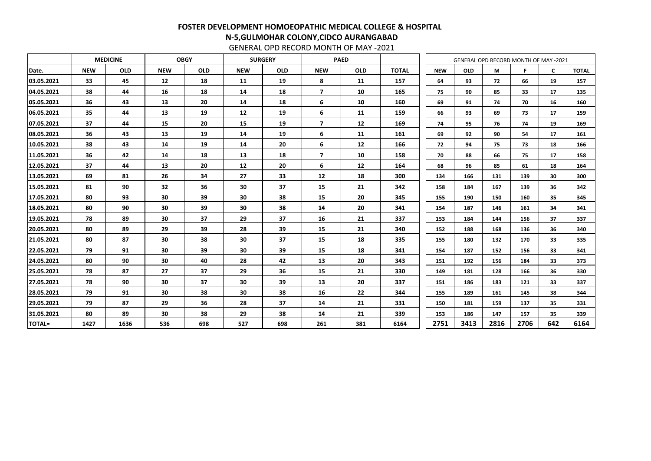GENERAL OPD RECORD MONTH OF MAY -2021

|               | <b>MEDICINE</b><br><b>OBGY</b> |            |                 |            |            | <b>SURGERY</b> |                         | <b>PAED</b> |              |            | <b>GENERAL OPD RECORD MONTH OF MAY -2021</b> |      |      |              |              |
|---------------|--------------------------------|------------|-----------------|------------|------------|----------------|-------------------------|-------------|--------------|------------|----------------------------------------------|------|------|--------------|--------------|
| Date.         | <b>NEW</b>                     | <b>OLD</b> | <b>NEW</b>      | <b>OLD</b> | <b>NEW</b> | <b>OLD</b>     | <b>NEW</b>              | <b>OLD</b>  | <b>TOTAL</b> | <b>NEW</b> | <b>OLD</b>                                   | M    | F    | $\mathsf{C}$ | <b>TOTAL</b> |
| 03.05.2021    | 33                             | 45         | 12              | 18         | 11         | 19             | 8                       | 11          | 157          | 64         | 93                                           | 72   | 66   | 19           | 157          |
| 04.05.2021    | 38                             | 44         | 16              | 18         | 14         | 18             | $\overline{\mathbf{z}}$ | 10          | 165          | 75         | 90                                           | 85   | 33   | 17           | 135          |
| 05.05.2021    | 36                             | 43         | 13              | 20         | 14         | 18             | 6                       | 10          | 160          | 69         | 91                                           | 74   | 70   | 16           | 160          |
| 06.05.2021    | 35                             | 44         | 13              | 19         | 12         | 19             | 6                       | 11          | 159          | 66         | 93                                           | 69   | 73   | 17           | 159          |
| 07.05.2021    | 37                             | 44         | 15              | 20         | 15         | 19             | $\overline{7}$          | 12          | 169          | 74         | 95                                           | 76   | 74   | 19           | 169          |
| 08.05.2021    | 36                             | 43         | 13              | 19         | 14         | 19             | 6                       | 11          | 161          | 69         | 92                                           | 90   | 54   | 17           | 161          |
| 10.05.2021    | 38                             | 43         | 14              | 19         | 14         | 20             | 6                       | 12          | 166          | 72         | 94                                           | 75   | 73   | 18           | 166          |
| 11.05.2021    | 36                             | 42         | 14              | 18         | 13         | 18             | $\overline{\mathbf{z}}$ | 10          | 158          | 70         | 88                                           | 66   | 75   | 17           | 158          |
| 12.05.2021    | 37                             | 44         | 13              | 20         | 12         | 20             | 6                       | 12          | 164          | 68         | 96                                           | 85   | 61   | 18           | 164          |
| 13.05.2021    | 69                             | 81         | 26              | 34         | 27         | 33             | 12                      | 18          | 300          | 134        | 166                                          | 131  | 139  | 30           | 300          |
| 15.05.2021    | 81                             | 90         | 32              | 36         | 30         | 37             | 15                      | 21          | 342          | 158        | 184                                          | 167  | 139  | 36           | 342          |
| 17.05.2021    | 80                             | 93         | 30              | 39         | 30         | 38             | 15                      | 20          | 345          | 155        | 190                                          | 150  | 160  | 35           | 345          |
| 18.05.2021    | 80                             | 90         | 30              | 39         | 30         | 38             | 14                      | 20          | 341          | 154        | 187                                          | 146  | 161  | 34           | 341          |
| 19.05.2021    | 78                             | 89         | 30              | 37         | 29         | 37             | 16                      | 21          | 337          | 153        | 184                                          | 144  | 156  | 37           | 337          |
| 20.05.2021    | 80                             | 89         | 29              | 39         | 28         | 39             | 15                      | 21          | 340          | 152        | 188                                          | 168  | 136  | 36           | 340          |
| 21.05.2021    | 80                             | 87         | 30              | 38         | 30         | 37             | 15                      | 18          | 335          | 155        | 180                                          | 132  | 170  | 33           | 335          |
| 22.05.2021    | 79                             | 91         | 30              | 39         | 30         | 39             | 15                      | 18          | 341          | 154        | 187                                          | 152  | 156  | 33           | 341          |
| 24.05.2021    | 80                             | 90         | 30              | 40         | 28         | 42             | 13                      | 20          | 343          | 151        | 192                                          | 156  | 184  | 33           | 373          |
| 25.05.2021    | 78                             | 87         | 27              | 37         | 29         | 36             | 15                      | 21          | 330          | 149        | 181                                          | 128  | 166  | 36           | 330          |
| 27.05.2021    | 78                             | 90         | 30              | 37         | 30         | 39             | 13                      | 20          | 337          | 151        | 186                                          | 183  | 121  | 33           | 337          |
| 28.05.2021    | 79                             | 91         | 30              | 38         | 30         | 38             | 16                      | 22          | 344          | 155        | 189                                          | 161  | 145  | 38           | 344          |
| 29.05.2021    | 79                             | 87         | 29              | 36         | 28         | 37             | 14                      | 21          | 331          | 150        | 181                                          | 159  | 137  | 35           | 331          |
| 31.05.2021    | 80                             | 89         | 30 <sup>°</sup> | 38         | 29         | 38             | 14                      | 21          | 339          | 153        | 186                                          | 147  | 157  | 35           | 339          |
| <b>TOTAL=</b> | 1427                           | 1636       | 536             | 698        | 527        | 698            | 261                     | 381         | 6164         | 2751       | 3413                                         | 2816 | 2706 | 642          | 6164         |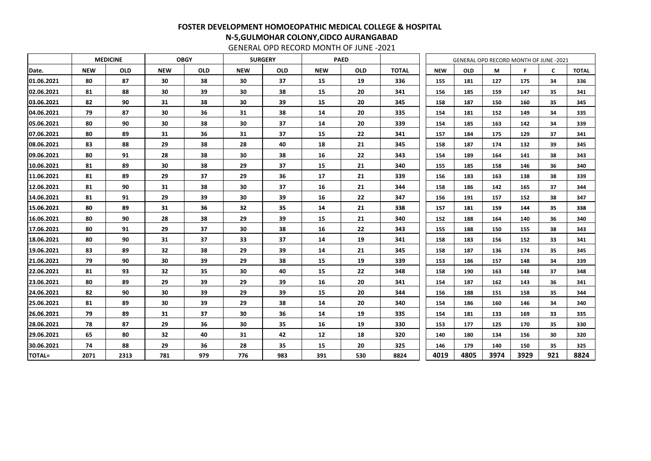GENERAL OPD RECORD MONTH OF JUNE -2021

|               |            | <b>MEDICINE</b> |                 | <b>OBGY</b> |            | <b>SURGERY</b>  |            | <b>PAED</b> |              |            |            | <b>GENERAL OPD RECORD MONTH OF JUNE -2021</b> |      |              |              |
|---------------|------------|-----------------|-----------------|-------------|------------|-----------------|------------|-------------|--------------|------------|------------|-----------------------------------------------|------|--------------|--------------|
| Date.         | <b>NEW</b> | <b>OLD</b>      | <b>NEW</b>      | <b>OLD</b>  | <b>NEW</b> | <b>OLD</b>      | <b>NEW</b> | <b>OLD</b>  | <b>TOTAL</b> | <b>NEW</b> | <b>OLD</b> | M                                             | F    | $\mathsf{C}$ | <b>TOTAL</b> |
| 01.06.2021    | 80         | 87              | 30              | 38          | 30         | 37              | 15         | 19          | 336          | 155        | 181        | 127                                           | 175  | 34           | 336          |
| 02.06.2021    | 81         | 88              | 30              | 39          | 30         | 38              | 15         | 20          | 341          | 156        | 185        | 159                                           | 147  | 35           | 341          |
| 03.06.2021    | 82         | 90              | 31              | 38          | 30         | 39              | 15         | 20          | 345          | 158        | 187        | 150                                           | 160  | 35           | 345          |
| 04.06.2021    | 79         | 87              | 30              | 36          | 31         | 38              | 14         | 20          | 335          | 154        | 181        | 152                                           | 149  | 34           | 335          |
| 05.06.2021    | 80         | 90              | 30              | 38          | 30         | 37              | 14         | 20          | 339          | 154        | 185        | 163                                           | 142  | 34           | 339          |
| 07.06.2021    | 80         | 89              | 31              | 36          | 31         | 37              | 15         | 22          | 341          | 157        | 184        | 175                                           | 129  | 37           | 341          |
| 08.06.2021    | 83         | 88              | 29              | 38          | 28         | 40              | 18         | 21          | 345          | 158        | 187        | 174                                           | 132  | 39           | 345          |
| 09.06.2021    | 80         | 91              | 28              | 38          | 30         | 38              | 16         | 22          | 343          | 154        | 189        | 164                                           | 141  | 38           | 343          |
| 10.06.2021    | 81         | 89              | 30              | 38          | 29         | 37              | 15         | 21          | 340          | 155        | 185        | 158                                           | 146  | 36           | 340          |
| 11.06.2021    | 81         | 89              | 29              | 37          | 29         | 36              | 17         | 21          | 339          | 156        | 183        | 163                                           | 138  | 38           | 339          |
| 12.06.2021    | 81         | 90              | 31              | 38          | 30         | 37              | 16         | 21          | 344          | 158        | 186        | 142                                           | 165  | 37           | 344          |
| 14.06.2021    | 81         | 91              | 29              | 39          | 30         | 39              | 16         | 22          | 347          | 156        | 191        | 157                                           | 152  | 38           | 347          |
| 15.06.2021    | 80         | 89              | 31              | 36          | 32         | 35              | 14         | 21          | 338          | 157        | 181        | 159                                           | 144  | 35           | 338          |
| 16.06.2021    | 80         | 90              | 28              | 38          | 29         | 39              | 15         | 21          | 340          | 152        | 188        | 164                                           | 140  | 36           | 340          |
| 17.06.2021    | 80         | 91              | 29              | 37          | 30         | 38              | 16         | 22          | 343          | 155        | 188        | 150                                           | 155  | 38           | 343          |
| 18.06.2021    | 80         | 90              | 31              | 37          | 33         | 37              | 14         | 19          | 341          | 158        | 183        | 156                                           | 152  | 33           | 341          |
| 19.06.2021    | 83         | 89              | 32              | 38          | 29         | 39              | 14         | 21          | 345          | 158        | 187        | 136                                           | 174  | 35           | 345          |
| 21.06.2021    | 79         | 90              | 30              | 39          | 29         | 38              | 15         | 19          | 339          | 153        | 186        | 157                                           | 148  | 34           | 339          |
| 22.06.2021    | 81         | 93              | 32              | 35          | 30         | 40              | 15         | 22          | 348          | 158        | 190        | 163                                           | 148  | 37           | 348          |
| 23.06.2021    | 80         | 89              | 29              | 39          | 29         | 39              | 16         | 20          | 341          | 154        | 187        | 162                                           | 143  | 36           | 341          |
| 24.06.2021    | 82         | 90              | 30              | 39          | 29         | 39              | 15         | 20          | 344          | 156        | 188        | 151                                           | 158  | 35           | 344          |
| 25.06.2021    | 81         | 89              | 30              | 39          | 29         | 38              | 14         | 20          | 340          | 154        | 186        | 160                                           | 146  | 34           | 340          |
| 26.06.2021    | 79         | 89              | 31              | 37          | 30         | 36              | 14         | 19          | 335          | 154        | 181        | 133                                           | 169  | 33           | 335          |
| 28.06.2021    | 78         | 87              | 29              | 36          | 30         | 35 <sub>2</sub> | 16         | 19          | 330          | 153        | 177        | 125                                           | 170  | 35           | 330          |
| 29.06.2021    | 65         | 80              | 32 <sub>2</sub> | 40          | 31         | 42              | 12         | 18          | 320          | 140        | 180        | 134                                           | 156  | 30           | 320          |
| 30.06.2021    | 74         | 88              | 29              | 36          | 28         | 35 <sub>2</sub> | 15         | 20          | 325          | 146        | 179        | 140                                           | 150  | 35           | 325          |
| <b>TOTAL=</b> | 2071       | 2313            | 781             | 979         | 776        | 983             | 391        | 530         | 8824         | 4019       | 4805       | 3974                                          | 3929 | 921          | 8824         |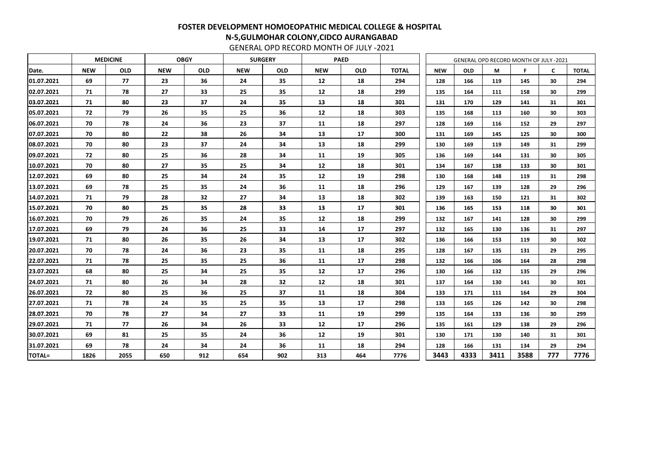GENERAL OPD RECORD MONTH OF JULY -2021

|               | <b>MEDICINE</b> |            |            | <b>OBGY</b> |            | <b>SURGERY</b> |            | <b>PAED</b> |              |            |            |      | <b>GENERAL OPD RECORD MONTH OF JULY -2021</b> |                 |              |
|---------------|-----------------|------------|------------|-------------|------------|----------------|------------|-------------|--------------|------------|------------|------|-----------------------------------------------|-----------------|--------------|
| Date.         | <b>NEW</b>      | <b>OLD</b> | <b>NEW</b> | <b>OLD</b>  | <b>NEW</b> | <b>OLD</b>     | <b>NEW</b> | <b>OLD</b>  | <b>TOTAL</b> | <b>NEW</b> | <b>OLD</b> | M    |                                               | $\mathsf{C}$    | <b>TOTAL</b> |
| 01.07.2021    | 69              | 77         | 23         | 36          | 24         | 35             | 12         | 18          | 294          | 128        | 166        | 119  | 145                                           | 30              | 294          |
| 02.07.2021    | 71              | 78         | 27         | 33          | 25         | 35             | 12         | 18          | 299          | 135        | 164        | 111  | 158                                           | 30              | 299          |
| 03.07.2021    | 71              | 80         | 23         | 37          | 24         | 35             | 13         | 18          | 301          | 131        | 170        | 129  | 141                                           | 31              | 301          |
| 05.07.2021    | 72              | 79         | 26         | 35          | 25         | 36             | 12         | 18          | 303          | 135        | 168        | 113  | 160                                           | 30              | 303          |
| 06.07.2021    | 70              | 78         | 24         | 36          | 23         | 37             | 11         | 18          | 297          | 128        | 169        | 116  | 152                                           | 29              | 297          |
| 07.07.2021    | 70              | 80         | 22         | 38          | 26         | 34             | 13         | 17          | 300          | 131        | 169        | 145  | 125                                           | 30              | 300          |
| 08.07.2021    | 70              | 80         | 23         | 37          | 24         | 34             | 13         | 18          | 299          | 130        | 169        | 119  | 149                                           | 31              | 299          |
| 09.07.2021    | 72              | 80         | 25         | 36          | 28         | 34             | 11         | 19          | 305          | 136        | 169        | 144  | 131                                           | 30              | 305          |
| 10.07.2021    | 70              | 80         | 27         | 35          | 25         | 34             | 12         | 18          | 301          | 134        | 167        | 138  | 133                                           | 30              | 301          |
| 12.07.2021    | 69              | 80         | 25         | 34          | 24         | 35             | 12         | 19          | 298          | 130        | 168        | 148  | 119                                           | 31              | 298          |
| 13.07.2021    | 69              | 78         | 25         | 35          | 24         | 36             | 11         | 18          | 296          | 129        | 167        | 139  | 128                                           | 29              | 296          |
| 14.07.2021    | 71              | 79         | 28         | 32          | 27         | 34             | 13         | 18          | 302          | 139        | 163        | 150  | 121                                           | 31              | 302          |
| 15.07.2021    | 70              | 80         | 25         | 35          | 28         | 33             | 13         | 17          | 301          | 136        | 165        | 153  | 118                                           | 30              | 301          |
| 16.07.2021    | 70              | 79         | 26         | 35          | 24         | 35             | 12         | 18          | 299          | 132        | 167        | 141  | 128                                           | 30              | 299          |
| 17.07.2021    | 69              | 79         | 24         | 36          | 25         | 33             | 14         | 17          | 297          | 132        | 165        | 130  | 136                                           | 31              | 297          |
| 19.07.2021    | 71              | 80         | 26         | 35          | 26         | 34             | 13         | 17          | 302          | 136        | 166        | 153  | 119                                           | 30              | 302          |
| 20.07.2021    | 70              | 78         | 24         | 36          | 23         | 35             | 11         | 18          | 295          | 128        | 167        | 135  | 131                                           | 29              | 295          |
| 22.07.2021    | 71              | 78         | 25         | 35          | 25         | 36             | 11         | 17          | 298          | 132        | 166        | 106  | 164                                           | 28              | 298          |
| 23.07.2021    | 68              | 80         | 25         | 34          | 25         | 35             | 12         | 17          | 296          | 130        | 166        | 132  | 135                                           | 29              | 296          |
| 24.07.2021    | 71              | 80         | 26         | 34          | 28         | 32             | 12         | 18          | 301          | 137        | 164        | 130  | 141                                           | 30              | 301          |
| 26.07.2021    | 72              | 80         | 25         | 36          | 25         | 37             | 11         | 18          | 304          | 133        | 171        | 111  | 164                                           | 29              | 304          |
| 27.07.2021    | 71              | 78         | 24         | 35          | 25         | 35             | 13         | 17          | 298          | 133        | 165        | 126  | 142                                           | 30              | 298          |
| 28.07.2021    | 70              | 78         | 27         | 34          | 27         | 33             | 11         | 19          | 299          | 135        | 164        | 133  | 136                                           | 30 <sub>2</sub> | 299          |
| 29.07.2021    | 71              | 77         | 26         | 34          | 26         | 33             | 12         | 17          | 296          | 135        | 161        | 129  | 138                                           | 29              | 296          |
| 30.07.2021    | 69              | 81         | 25         | 35          | 24         | 36             | 12         | 19          | 301          | 130        | 171        | 130  | 140                                           | 31              | 301          |
| 31.07.2021    | 69              | 78         | 24         | 34          | 24         | 36             | 11         | 18          | 294          | 128        | 166        | 131  | 134                                           | 29              | 294          |
| <b>TOTAL=</b> | 1826            | 2055       | 650        | 912         | 654        | 902            | 313        | 464         | 7776         | 3443       | 4333       | 3411 | 3588                                          | 777             | 7776         |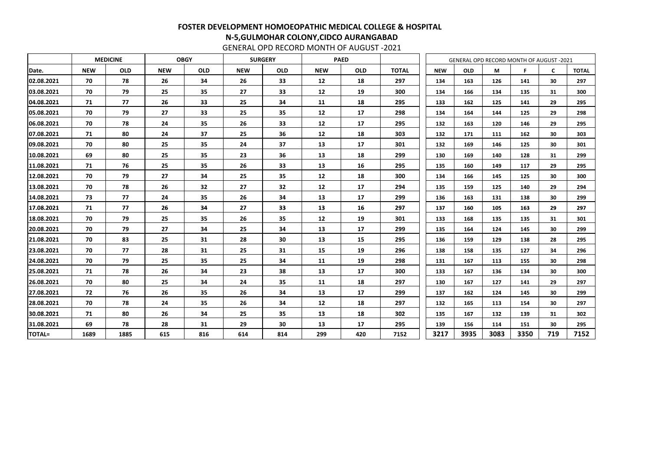GENERAL OPD RECORD MONTH OF AUGUST -2021

|               | <b>MEDICINE</b> |            |            | <b>OBGY</b> |            | <b>SURGERY</b> |            | <b>PAED</b> |              |            |            |      | GENERAL OPD RECORD MONTH OF AUGUST -2021 |     |              |
|---------------|-----------------|------------|------------|-------------|------------|----------------|------------|-------------|--------------|------------|------------|------|------------------------------------------|-----|--------------|
| Date.         | <b>NEW</b>      | <b>OLD</b> | <b>NEW</b> | <b>OLD</b>  | <b>NEW</b> | <b>OLD</b>     | <b>NEW</b> | <b>OLD</b>  | <b>TOTAL</b> | <b>NEW</b> | <b>OLD</b> | М    | F                                        | C   | <b>TOTAL</b> |
| 02.08.2021    | 70              | 78         | 26         | 34          | 26         | 33             | 12         | 18          | 297          | 134        | 163        | 126  | 141                                      | 30  | 297          |
| 03.08.2021    | 70              | 79         | 25         | 35          | 27         | 33             | 12         | 19          | 300          | 134        | 166        | 134  | 135                                      | 31  | 300          |
| 04.08.2021    | 71              | 77         | 26         | 33          | 25         | 34             | 11         | 18          | 295          | 133        | 162        | 125  | 141                                      | 29  | 295          |
| 05.08.2021    | 70              | 79         | 27         | 33          | 25         | 35             | 12         | 17          | 298          | 134        | 164        | 144  | 125                                      | 29  | 298          |
| 06.08.2021    | 70              | 78         | 24         | 35          | 26         | 33             | 12         | 17          | 295          | 132        | 163        | 120  | 146                                      | 29  | 295          |
| 07.08.2021    | 71              | 80         | 24         | 37          | 25         | 36             | 12         | 18          | 303          | 132        | 171        | 111  | 162                                      | 30  | 303          |
| 09.08.2021    | 70              | 80         | 25         | 35          | 24         | 37             | 13         | 17          | 301          | 132        | 169        | 146  | 125                                      | 30  | 301          |
| 10.08.2021    | 69              | 80         | 25         | 35          | 23         | 36             | 13         | 18          | 299          | 130        | 169        | 140  | 128                                      | 31  | 299          |
| 11.08.2021    | 71              | 76         | 25         | 35          | 26         | 33             | 13         | 16          | 295          | 135        | 160        | 149  | 117                                      | 29  | 295          |
| 12.08.2021    | 70              | 79         | 27         | 34          | 25         | 35             | 12         | 18          | 300          | 134        | 166        | 145  | 125                                      | 30  | 300          |
| 13.08.2021    | 70              | 78         | 26         | 32          | 27         | 32             | 12         | 17          | 294          | 135        | 159        | 125  | 140                                      | 29  | 294          |
| 14.08.2021    | 73              | 77         | 24         | 35          | 26         | 34             | 13         | 17          | 299          | 136        | 163        | 131  | 138                                      | 30  | 299          |
| 17.08.2021    | 71              | 77         | 26         | 34          | 27         | 33             | 13         | 16          | 297          | 137        | 160        | 105  | 163                                      | 29  | 297          |
| 18.08.2021    | 70              | 79         | 25         | 35          | 26         | 35             | 12         | 19          | 301          | 133        | 168        | 135  | 135                                      | 31  | 301          |
| 20.08.2021    | 70              | 79         | 27         | 34          | 25         | 34             | 13         | 17          | 299          | 135        | 164        | 124  | 145                                      | 30  | 299          |
| 21.08.2021    | 70              | 83         | 25         | 31          | 28         | 30             | 13         | 15          | 295          | 136        | 159        | 129  | 138                                      | 28  | 295          |
| 23.08.2021    | 70              | 77         | 28         | 31          | 25         | 31             | 15         | 19          | 296          | 138        | 158        | 135  | 127                                      | 34  | 296          |
| 24.08.2021    | 70              | 79         | 25         | 35          | 25         | 34             | 11         | 19          | 298          | 131        | 167        | 113  | 155                                      | 30  | 298          |
| 25.08.2021    | 71              | 78         | 26         | 34          | 23         | 38             | 13         | 17          | 300          | 133        | 167        | 136  | 134                                      | 30  | 300          |
| 26.08.2021    | 70              | 80         | 25         | 34          | 24         | 35             | 11         | 18          | 297          | 130        | 167        | 127  | 141                                      | 29  | 297          |
| 27.08.2021    | 72              | 76         | 26         | 35          | 26         | 34             | 13         | 17          | 299          | 137        | 162        | 124  | 145                                      | 30  | 299          |
| 28.08.2021    | 70              | 78         | 24         | 35          | 26         | 34             | 12         | 18          | 297          | 132        | 165        | 113  | 154                                      | 30  | 297          |
| 30.08.2021    | 71              | 80         | 26         | 34          | 25         | 35             | 13         | 18          | 302          | 135        | 167        | 132  | 139                                      | 31  | 302          |
| 31.08.2021    | 69              | 78         | 28         | 31          | 29         | 30             | 13         | 17          | 295          | 139        | 156        | 114  | 151                                      | 30  | 295          |
| <b>TOTAL=</b> | 1689            | 1885       | 615        | 816         | 614        | 814            | 299        | 420         | 7152         | 3217       | 3935       | 3083 | 3350                                     | 719 | 7152         |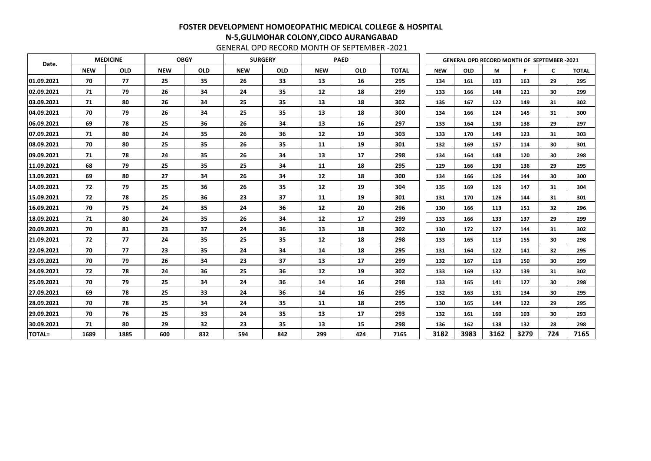GENERAL OPD RECORD MONTH OF SEPTEMBER -2021

| Date.         |            | <b>MEDICINE</b> |            | <b>OBGY</b> |            | <b>SURGERY</b> |            | <b>PAED</b> |              | <b>GENERAL OPD RECORD MONTH OF SEPTEMBER -2021</b> |            |      |      |                 |              |
|---------------|------------|-----------------|------------|-------------|------------|----------------|------------|-------------|--------------|----------------------------------------------------|------------|------|------|-----------------|--------------|
|               | <b>NEW</b> | <b>OLD</b>      | <b>NEW</b> | <b>OLD</b>  | <b>NEW</b> | <b>OLD</b>     | <b>NEW</b> | <b>OLD</b>  | <b>TOTAL</b> | <b>NEW</b>                                         | <b>OLD</b> | М    | Е    | $\mathsf{C}$    | <b>TOTAL</b> |
| 01.09.2021    | 70         | 77              | 25         | 35          | 26         | 33             | 13         | 16          | 295          | 134                                                | 161        | 103  | 163  | 29              | 295          |
| 02.09.2021    | 71         | 79              | 26         | 34          | 24         | 35             | 12         | 18          | 299          | 133                                                | 166        | 148  | 121  | 30              | 299          |
| 03.09.2021    | 71         | 80              | 26         | 34          | 25         | 35             | 13         | 18          | 302          | 135                                                | 167        | 122  | 149  | 31              | 302          |
| 04.09.2021    | 70         | 79              | 26         | 34          | 25         | 35             | 13         | 18          | 300          | 134                                                | 166        | 124  | 145  | 31              | 300          |
| 06.09.2021    | 69         | 78              | 25         | 36          | 26         | 34             | 13         | 16          | 297          | 133                                                | 164        | 130  | 138  | 29              | 297          |
| 07.09.2021    | 71         | 80              | 24         | 35          | 26         | 36             | 12         | 19          | 303          | 133                                                | 170        | 149  | 123  | 31              | 303          |
| 08.09.2021    | 70         | 80              | 25         | 35          | 26         | 35             | 11         | 19          | 301          | 132                                                | 169        | 157  | 114  | 30              | 301          |
| 09.09.2021    | 71         | 78              | 24         | 35          | 26         | 34             | 13         | 17          | 298          | 134                                                | 164        | 148  | 120  | 30              | 298          |
| 11.09.2021    | 68         | 79              | 25         | 35          | 25         | 34             | 11         | 18          | 295          | 129                                                | 166        | 130  | 136  | 29              | 295          |
| 13.09.2021    | 69         | 80              | 27         | 34          | 26         | 34             | 12         | 18          | 300          | 134                                                | 166        | 126  | 144  | 30              | 300          |
| 14.09.2021    | 72         | 79              | 25         | 36          | 26         | 35             | 12         | 19          | 304          | 135                                                | 169        | 126  | 147  | 31              | 304          |
| 15.09.2021    | 72         | 78              | 25         | 36          | 23         | 37             | 11         | 19          | 301          | 131                                                | 170        | 126  | 144  | 31              | 301          |
| 16.09.2021    | 70         | 75              | 24         | 35          | 24         | 36             | 12         | 20          | 296          | 130                                                | 166        | 113  | 151  | 32              | 296          |
| 18.09.2021    | 71         | 80              | 24         | 35          | 26         | 34             | 12         | 17          | 299          | 133                                                | 166        | 133  | 137  | 29              | 299          |
| 20.09.2021    | 70         | 81              | 23         | 37          | 24         | 36             | 13         | 18          | 302          | 130                                                | 172        | 127  | 144  | 31              | 302          |
| 21.09.2021    | 72         | 77              | 24         | 35          | 25         | 35             | 12         | 18          | 298          | 133                                                | 165        | 113  | 155  | 30              | 298          |
| 22.09.2021    | 70         | 77              | 23         | 35          | 24         | 34             | 14         | 18          | 295          | 131                                                | 164        | 122  | 141  | 32 <sub>2</sub> | 295          |
| 23.09.2021    | 70         | 79              | 26         | 34          | 23         | 37             | 13         | 17          | 299          | 132                                                | 167        | 119  | 150  | 30              | 299          |
| 24.09.2021    | 72         | 78              | 24         | 36          | 25         | 36             | 12         | 19          | 302          | 133                                                | 169        | 132  | 139  | 31              | 302          |
| 25.09.2021    | 70         | 79              | 25         | 34          | 24         | 36             | 14         | 16          | 298          | 133                                                | 165        | 141  | 127  | 30              | 298          |
| 27.09.2021    | 69         | 78              | 25         | 33          | 24         | 36             | 14         | 16          | 295          | 132                                                | 163        | 131  | 134  | 30              | 295          |
| 28.09.2021    | 70         | 78              | 25         | 34          | 24         | 35             | 11         | 18          | 295          | 130                                                | 165        | 144  | 122  | 29              | 295          |
| 29.09.2021    | 70         | 76              | 25         | 33          | 24         | 35             | 13         | 17          | 293          | 132                                                | 161        | 160  | 103  | 30              | 293          |
| 30.09.2021    | 71         | 80              | 29         | 32          | 23         | 35             | 13         | 15          | 298          | 136                                                | 162        | 138  | 132  | 28              | 298          |
| <b>TOTAL=</b> | 1689       | 1885            | 600        | 832         | 594        | 842            | 299        | 424         | 7165         | 3182                                               | 3983       | 3162 | 3279 | 724             | 7165         |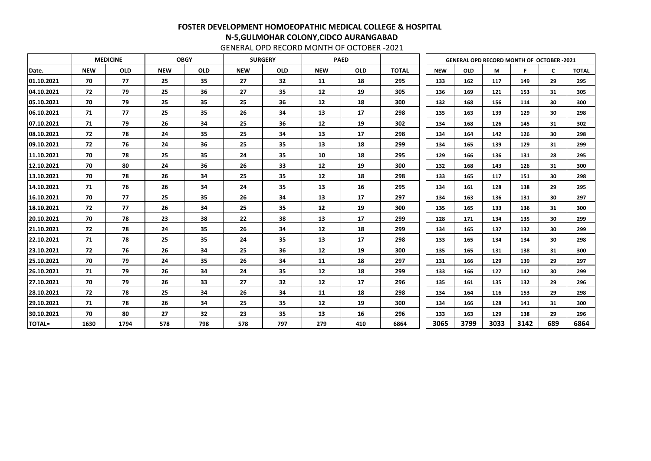GENERAL OPD RECORD MONTH OF OCTOBER -2021

|               |            | <b>MEDICINE</b> |            | <b>OBGY</b> |            | <b>SURGERY</b> |            | <b>PAED</b> |              |            | <b>GENERAL OPD RECORD MONTH OF OCTOBER -2021</b> |      |      |              |              |
|---------------|------------|-----------------|------------|-------------|------------|----------------|------------|-------------|--------------|------------|--------------------------------------------------|------|------|--------------|--------------|
| Date.         | <b>NEW</b> | <b>OLD</b>      | <b>NEW</b> | <b>OLD</b>  | <b>NEW</b> | <b>OLD</b>     | <b>NEW</b> | <b>OLD</b>  | <b>TOTAL</b> | <b>NEW</b> | <b>OLD</b>                                       | M    | F    | $\mathsf{C}$ | <b>TOTAL</b> |
| 01.10.2021    | 70         | 77              | 25         | 35          | 27         | 32             | 11         | 18          | 295          | 133        | 162                                              | 117  | 149  | 29           | 295          |
| 04.10.2021    | 72         | 79              | 25         | 36          | 27         | 35             | 12         | 19          | 305          | 136        | 169                                              | 121  | 153  | 31           | 305          |
| 05.10.2021    | 70         | 79              | 25         | 35          | 25         | 36             | 12         | 18          | 300          | 132        | 168                                              | 156  | 114  | 30           | 300          |
| 06.10.2021    | 71         | 77              | 25         | 35          | 26         | 34             | 13         | 17          | 298          | 135        | 163                                              | 139  | 129  | 30           | 298          |
| 07.10.2021    | 71         | 79              | 26         | 34          | 25         | 36             | 12         | 19          | 302          | 134        | 168                                              | 126  | 145  | 31           | 302          |
| 08.10.2021    | 72         | 78              | 24         | 35          | 25         | 34             | 13         | 17          | 298          | 134        | 164                                              | 142  | 126  | 30           | 298          |
| 09.10.2021    | 72         | 76              | 24         | 36          | 25         | 35             | 13         | 18          | 299          | 134        | 165                                              | 139  | 129  | 31           | 299          |
| 11.10.2021    | 70         | 78              | 25         | 35          | 24         | 35             | 10         | 18          | 295          | 129        | 166                                              | 136  | 131  | 28           | 295          |
| 12.10.2021    | 70         | 80              | 24         | 36          | 26         | 33             | 12         | 19          | 300          | 132        | 168                                              | 143  | 126  | 31           | 300          |
| 13.10.2021    | 70         | 78              | 26         | 34          | 25         | 35             | 12         | 18          | 298          | 133        | 165                                              | 117  | 151  | 30           | 298          |
| 14.10.2021    | 71         | 76              | 26         | 34          | 24         | 35             | 13         | 16          | 295          | 134        | 161                                              | 128  | 138  | 29           | 295          |
| 16.10.2021    | 70         | 77              | 25         | 35          | 26         | 34             | 13         | 17          | 297          | 134        | 163                                              | 136  | 131  | 30           | 297          |
| 18.10.2021    | 72         | 77              | 26         | 34          | 25         | 35             | 12         | 19          | 300          | 135        | 165                                              | 133  | 136  | 31           | 300          |
| 20.10.2021    | 70         | 78              | 23         | 38          | 22         | 38             | 13         | 17          | 299          | 128        | 171                                              | 134  | 135  | 30           | 299          |
| 21.10.2021    | 72         | 78              | 24         | 35          | 26         | 34             | 12         | 18          | 299          | 134        | 165                                              | 137  | 132  | 30           | 299          |
| 22.10.2021    | 71         | 78              | 25         | 35          | 24         | 35             | 13         | 17          | 298          | 133        | 165                                              | 134  | 134  | 30           | 298          |
| 23.10.2021    | 72         | 76              | 26         | 34          | 25         | 36             | 12         | 19          | 300          | 135        | 165                                              | 131  | 138  | 31           | 300          |
| 25.10.2021    | 70         | 79              | 24         | 35          | 26         | 34             | 11         | 18          | 297          | 131        | 166                                              | 129  | 139  | 29           | 297          |
| 26.10.2021    | 71         | 79              | 26         | 34          | 24         | 35             | 12         | 18          | 299          | 133        | 166                                              | 127  | 142  | 30           | 299          |
| 27.10.2021    | 70         | 79              | 26         | 33          | 27         | 32             | 12         | 17          | 296          | 135        | 161                                              | 135  | 132  | 29           | 296          |
| 28.10.2021    | 72         | 78              | 25         | 34          | 26         | 34             | 11         | 18          | 298          | 134        | 164                                              | 116  | 153  | 29           | 298          |
| 29.10.2021    | 71         | 78              | 26         | 34          | 25         | 35             | 12         | 19          | 300          | 134        | 166                                              | 128  | 141  | 31           | 300          |
| 30.10.2021    | 70         | 80              | 27         | 32          | 23         | 35             | 13         | 16          | 296          | 133        | 163                                              | 129  | 138  | 29           | 296          |
| <b>TOTAL=</b> | 1630       | 1794            | 578        | 798         | 578        | 797            | 279        | 410         | 6864         | 3065       | 3799                                             | 3033 | 3142 | 689          | 6864         |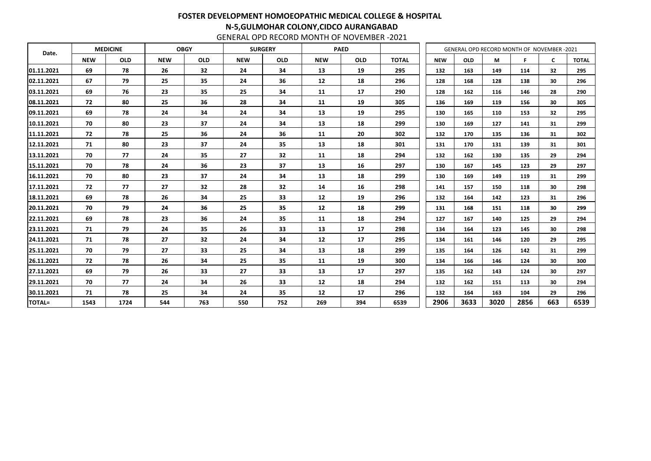GENERAL OPD RECORD MONTH OF NOVEMBER -2021

| Date.         |            | <b>MEDICINE</b> | <b>OBGY</b><br><b>SURGERY</b><br><b>PAED</b> |            |            |            |            |            |              | GENERAL OPD RECORD MONTH OF NOVEMBER -2021 |            |      |      |              |              |
|---------------|------------|-----------------|----------------------------------------------|------------|------------|------------|------------|------------|--------------|--------------------------------------------|------------|------|------|--------------|--------------|
|               | <b>NEW</b> | <b>OLD</b>      | <b>NEW</b>                                   | <b>OLD</b> | <b>NEW</b> | <b>OLD</b> | <b>NEW</b> | <b>OLD</b> | <b>TOTAL</b> | <b>NEW</b>                                 | <b>OLD</b> | M    | F.   | $\mathsf{C}$ | <b>TOTAL</b> |
| 01.11.2021    | 69         | 78              | 26                                           | 32         | 24         | 34         | 13         | 19         | 295          | 132                                        | 163        | 149  | 114  | 32           | 295          |
| 02.11.2021    | 67         | 79              | 25                                           | 35         | 24         | 36         | 12         | 18         | 296          | 128                                        | 168        | 128  | 138  | 30           | 296          |
| 03.11.2021    | 69         | 76              | 23                                           | 35         | 25         | 34         | 11         | 17         | 290          | 128                                        | 162        | 116  | 146  | 28           | 290          |
| 08.11.2021    | 72         | 80              | 25                                           | 36         | 28         | 34         | 11         | 19         | 305          | 136                                        | 169        | 119  | 156  | 30           | 305          |
| 09.11.2021    | 69         | 78              | 24                                           | 34         | 24         | 34         | 13         | 19         | 295          | 130                                        | 165        | 110  | 153  | 32           | 295          |
| 10.11.2021    | 70         | 80              | 23                                           | 37         | 24         | 34         | 13         | 18         | 299          | 130                                        | 169        | 127  | 141  | 31           | 299          |
| 11.11.2021    | 72         | 78              | 25                                           | 36         | 24         | 36         | 11         | 20         | 302          | 132                                        | 170        | 135  | 136  | 31           | 302          |
| 12.11.2021    | 71         | 80              | 23                                           | 37         | 24         | 35         | 13         | 18         | 301          | 131                                        | 170        | 131  | 139  | 31           | 301          |
| 13.11.2021    | 70         | 77              | 24                                           | 35         | 27         | 32         | 11         | 18         | 294          | 132                                        | 162        | 130  | 135  | 29           | 294          |
| 15.11.2021    | 70         | 78              | 24                                           | 36         | 23         | 37         | 13         | 16         | 297          | 130                                        | 167        | 145  | 123  | 29           | 297          |
| 16.11.2021    | 70         | 80              | 23                                           | 37         | 24         | 34         | 13         | 18         | 299          | 130                                        | 169        | 149  | 119  | 31           | 299          |
| 17.11.2021    | 72         | 77              | 27                                           | 32         | 28         | 32         | 14         | 16         | 298          | 141                                        | 157        | 150  | 118  | 30           | 298          |
| 18.11.2021    | 69         | 78              | 26                                           | 34         | 25         | 33         | 12         | 19         | 296          | 132                                        | 164        | 142  | 123  | 31           | 296          |
| 20.11.2021    | 70         | 79              | 24                                           | 36         | 25         | 35         | 12         | 18         | 299          | 131                                        | 168        | 151  | 118  | 30           | 299          |
| 22.11.2021    | 69         | 78              | 23                                           | 36         | 24         | 35         | 11         | 18         | 294          | 127                                        | 167        | 140  | 125  | 29           | 294          |
| 23.11.2021    | 71         | 79              | 24                                           | 35         | 26         | 33         | 13         | 17         | 298          | 134                                        | 164        | 123  | 145  | 30           | 298          |
| 24.11.2021    | 71         | 78              | 27                                           | 32         | 24         | 34         | 12         | 17         | 295          | 134                                        | 161        | 146  | 120  | 29           | 295          |
| 25.11.2021    | 70         | 79              | 27                                           | 33         | 25         | 34         | 13         | 18         | 299          | 135                                        | 164        | 126  | 142  | 31           | 299          |
| 26.11.2021    | 72         | 78              | 26                                           | 34         | 25         | 35         | 11         | 19         | 300          | 134                                        | 166        | 146  | 124  | 30           | 300          |
| 27.11.2021    | 69         | 79              | 26                                           | 33         | 27         | 33         | 13         | 17         | 297          | 135                                        | 162        | 143  | 124  | 30           | 297          |
| 29.11.2021    | 70         | 77              | 24                                           | 34         | 26         | 33         | 12         | 18         | 294          | 132                                        | 162        | 151  | 113  | 30           | 294          |
| 30.11.2021    | 71         | 78              | 25                                           | 34         | 24         | 35         | 12         | 17         | 296          | 132                                        | 164        | 163  | 104  | 29           | 296          |
| <b>TOTAL=</b> | 1543       | 1724            | 544                                          | 763        | 550        | 752        | 269        | 394        | 6539         | 2906                                       | 3633       | 3020 | 2856 | 663          | 6539         |